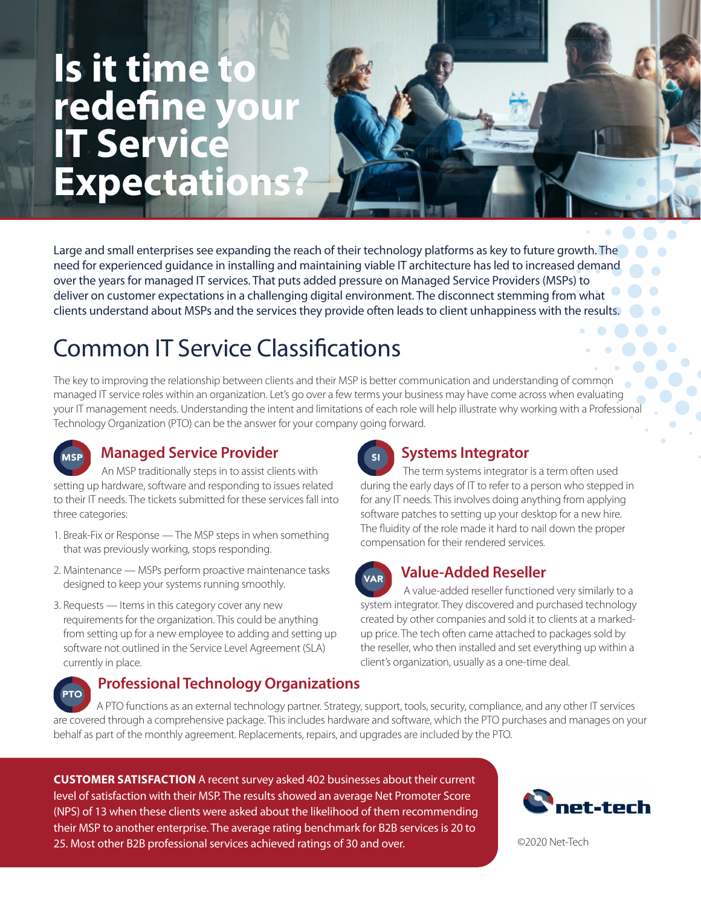# **Is it time to redefine yo IT Service Expectations?**

Large and small enterprises see expanding the reach of their technology platforms as key to future growth. The need for experienced guidance in installing and maintaining viable IT architecture has led to increased demand over the years for managed IT services. That puts added pressure on Managed Service Providers (MSPs) to deliver on customer expectations in a challenging digital environment. The disconnect stemming from what clients understand about MSPs and the services they provide often leads to client unhappiness with the results.

## Common IT Service Classifications

The key to improving the relationship between clients and their MSP is better communication and understanding of common managed IT service roles within an organization. Let's go over a few terms your business may have come across when evaluating your IT management needs. Understanding the intent and limitations of each role will help illustrate why working with a Professional Technology Organization (PTO) can be the answer for your company going forward.

### **Managed Service Provider**

 An MSP traditionally steps in to assist clients with setting up hardware, software and responding to issues related to their IT needs. The tickets submitted for these services fall into three categories:

- 1. Break-Fix or Response The MSP steps in when something that was previously working, stops responding.
- 2. Maintenance MSPs perform proactive maintenance tasks designed to keep your systems running smoothly.
- 3. Requests Items in this category cover any new requirements for the organization. This could be anything from setting up for a new employee to adding and setting up software not outlined in the Service Level Agreement (SLA) currently in place.

### **Professional Technology Organizations**

### **Systems Integrator**

 The term systems integrator is a term often used during the early days of IT to refer to a person who stepped in for any IT needs. This involves doing anything from applying software patches to setting up your desktop for a new hire. The fluidity of the role made it hard to nail down the proper compensation for their rendered services.



### **Value-Added Reseller**

 A value-added reseller functioned very similarly to a system integrator. They discovered and purchased technology created by other companies and sold it to clients at a markedup price. The tech often came attached to packages sold by the reseller, who then installed and set everything up within a client's organization, usually as a one-time deal.

 A PTO functions as an external technology partner. Strategy, support, tools, security, compliance, and any other IT services are covered through a comprehensive package. This includes hardware and software, which the PTO purchases and manages on your behalf as part of the monthly agreement. Replacements, repairs, and upgrades are included by the PTO.

**CUSTOMER SATISFACTION** A recent survey asked 402 businesses about their current level of satisfaction with their MSP. The results showed an average Net Promoter Score (NPS) of 13 when these clients were asked about the likelihood of them recommending their MSP to another enterprise. The average rating benchmark for B2B services is 20 to 25. Most other B2B professional services achieved ratings of 30 and over.



©2020 Net-Tech